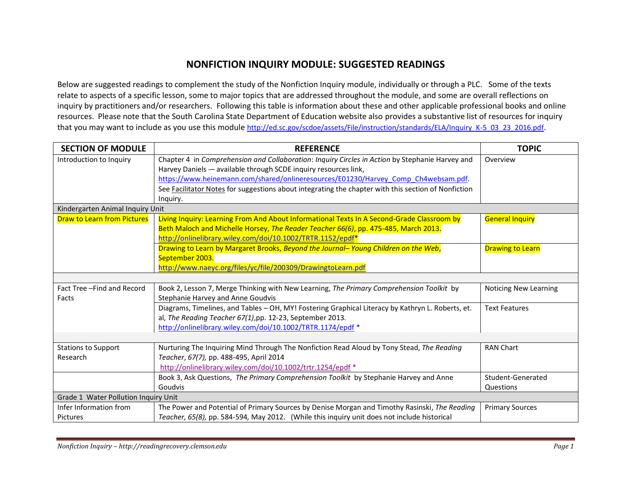## **NONFICTION INQUIRY MODULE: SUGGESTED READINGS**

Below are suggested readings to complement the study of the Nonfiction Inquiry module, individually or through a PLC. Some of the texts relate to aspects of a specific lesson, some to major topics that are addressed throughout the module, and some are overall reflections on inquiry by practitioners and/or researchers. Following this table is information about these and other applicable professional books and online resources. Please note that the South Carolina State Department of Education website also provides a substantive list of resources for inquiry that you may want to include as you use this module http://ed.sc.gov/scdoe/assets/File/instruction/standards/ELA/Inquiry K-5 03 23 2016.pdf.

| <b>SECTION OF MODULE</b>             | <b>REFERENCE</b>                                                                                    | <b>TOPIC</b>                 |
|--------------------------------------|-----------------------------------------------------------------------------------------------------|------------------------------|
| Introduction to Inquiry              | Chapter 4 in Comprehension and Collaboration: Inquiry Circles in Action by Stephanie Harvey and     | Overview                     |
|                                      | Harvey Daniels - available through SCDE inquiry resources link,                                     |                              |
|                                      | https://www.heinemann.com/shared/onlineresources/E01230/Harvey Comp Ch4websam.pdf.                  |                              |
|                                      | See Facilitator Notes for suggestions about integrating the chapter with this section of Nonfiction |                              |
|                                      | Inquiry.                                                                                            |                              |
| Kindergarten Animal Inquiry Unit     |                                                                                                     |                              |
| <b>Draw to Learn from Pictures</b>   | Living Inquiry: Learning From And About Informational Texts In A Second-Grade Classroom by          | <b>General Inquiry</b>       |
|                                      | Beth Maloch and Michelle Horsey, The Reader Teacher 66(6), pp. 475-485, March 2013.                 |                              |
|                                      | http://onlinelibrary.wiley.com/doi/10.1002/TRTR.1152/epdf*                                          |                              |
|                                      | Drawing to Learn by Margaret Brooks, Beyond the Journal-Young Children on the Web,                  | <b>Drawing to Learn</b>      |
|                                      | September 2003.                                                                                     |                              |
|                                      | http://www.naeyc.org/files/yc/file/200309/DrawingtoLearn.pdf                                        |                              |
|                                      |                                                                                                     |                              |
| Fact Tree-Find and Record            | Book 2, Lesson 7, Merge Thinking with New Learning, The Primary Comprehension Toolkit by            | <b>Noticing New Learning</b> |
| Facts                                | Stephanie Harvey and Anne Goudvis                                                                   |                              |
|                                      | Diagrams, Timelines, and Tables - OH, MY! Fostering Graphical Literacy by Kathryn L. Roberts, et.   | <b>Text Features</b>         |
|                                      | al, The Reading Teacher 67(1), pp. 12-23, September 2013.                                           |                              |
|                                      | http://onlinelibrary.wiley.com/doi/10.1002/TRTR.1174/epdf *                                         |                              |
|                                      |                                                                                                     |                              |
| <b>Stations to Support</b>           | Nurturing The Inquiring Mind Through The Nonfiction Read Aloud by Tony Stead, The Reading           | <b>RAN Chart</b>             |
| Research                             | Teacher, 67(7), pp. 488-495, April 2014                                                             |                              |
|                                      | http://onlinelibrary.wiley.com/doi/10.1002/trtr.1254/epdf *                                         |                              |
|                                      | Book 3, Ask Questions, The Primary Comprehension Toolkit by Stephanie Harvey and Anne               | Student-Generated            |
|                                      | Goudvis                                                                                             | Questions                    |
| Grade 1 Water Pollution Inquiry Unit |                                                                                                     |                              |
| Infer Information from               | The Power and Potential of Primary Sources by Denise Morgan and Timothy Rasinski, The Reading       | <b>Primary Sources</b>       |
| <b>Pictures</b>                      | Teacher, 65(8), pp. 584-594, May 2012. (While this inquiry unit does not include historical         |                              |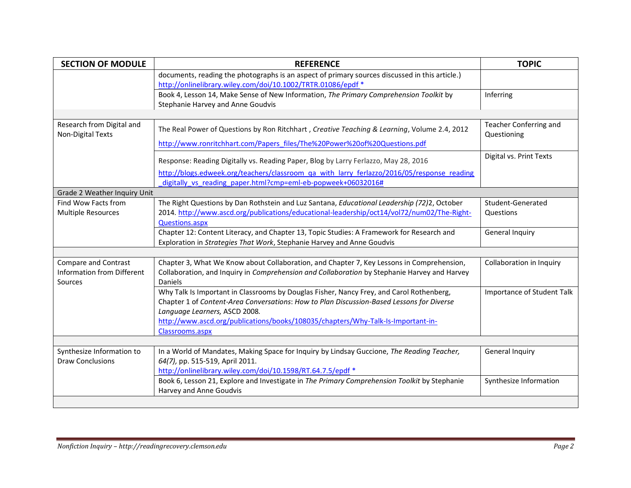| <b>SECTION OF MODULE</b>                       | <b>REFERENCE</b>                                                                                                                                               | <b>TOPIC</b>                                 |
|------------------------------------------------|----------------------------------------------------------------------------------------------------------------------------------------------------------------|----------------------------------------------|
|                                                | documents, reading the photographs is an aspect of primary sources discussed in this article.)<br>http://onlinelibrary.wiley.com/doi/10.1002/TRTR.01086/epdf * |                                              |
|                                                | Book 4, Lesson 14, Make Sense of New Information, The Primary Comprehension Toolkit by<br>Stephanie Harvey and Anne Goudvis                                    | Inferring                                    |
|                                                |                                                                                                                                                                |                                              |
| Research from Digital and<br>Non-Digital Texts | The Real Power of Questions by Ron Ritchhart, Creative Teaching & Learning, Volume 2.4, 2012                                                                   | <b>Teacher Conferring and</b><br>Questioning |
|                                                | http://www.ronritchhart.com/Papers files/The%20Power%20of%20Questions.pdf                                                                                      |                                              |
|                                                | Response: Reading Digitally vs. Reading Paper, Blog by Larry Ferlazzo, May 28, 2016                                                                            | Digital vs. Print Texts                      |
|                                                | http://blogs.edweek.org/teachers/classroom qa with larry ferlazzo/2016/05/response reading<br>digitally vs reading paper.html?cmp=eml-eb-popweek+06032016#     |                                              |
| Grade 2 Weather Inquiry Unit                   |                                                                                                                                                                |                                              |
| Find Wow Facts from                            | The Right Questions by Dan Rothstein and Luz Santana, Educational Leadership (72)2, October                                                                    | Student-Generated                            |
| <b>Multiple Resources</b>                      | 2014. http://www.ascd.org/publications/educational-leadership/oct14/vol72/num02/The-Right-                                                                     | Questions                                    |
|                                                | <b>Questions.aspx</b>                                                                                                                                          |                                              |
|                                                | Chapter 12: Content Literacy, and Chapter 13, Topic Studies: A Framework for Research and                                                                      | <b>General Inquiry</b>                       |
|                                                | Exploration in Strategies That Work, Stephanie Harvey and Anne Goudvis                                                                                         |                                              |
|                                                |                                                                                                                                                                |                                              |
| Compare and Contrast                           | Chapter 3, What We Know about Collaboration, and Chapter 7, Key Lessons in Comprehension,                                                                      | Collaboration in Inquiry                     |
| Information from Different<br>Sources          | Collaboration, and Inquiry in Comprehension and Collaboration by Stephanie Harvey and Harvey<br><b>Daniels</b>                                                 |                                              |
|                                                | Why Talk Is Important in Classrooms by Douglas Fisher, Nancy Frey, and Carol Rothenberg,                                                                       | Importance of Student Talk                   |
|                                                | Chapter 1 of Content-Area Conversations: How to Plan Discussion-Based Lessons for Diverse                                                                      |                                              |
|                                                | Language Learners, ASCD 2008.<br>http://www.ascd.org/publications/books/108035/chapters/Why-Talk-Is-Important-in-                                              |                                              |
|                                                | Classrooms.aspx                                                                                                                                                |                                              |
|                                                |                                                                                                                                                                |                                              |
| Synthesize Information to                      | In a World of Mandates, Making Space for Inquiry by Lindsay Guccione, The Reading Teacher,                                                                     | General Inquiry                              |
| <b>Draw Conclusions</b>                        | 64(7), pp. 515-519, April 2011.                                                                                                                                |                                              |
|                                                | http://onlinelibrary.wiley.com/doi/10.1598/RT.64.7.5/epdf *                                                                                                    |                                              |
|                                                | Book 6, Lesson 21, Explore and Investigate in The Primary Comprehension Toolkit by Stephanie<br>Harvey and Anne Goudvis                                        | Synthesize Information                       |
|                                                |                                                                                                                                                                |                                              |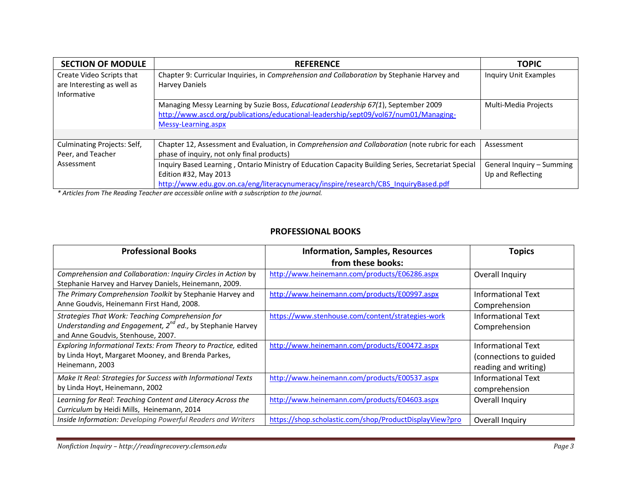| <b>SECTION OF MODULE</b>    | <b>REFERENCE</b>                                                                                    | <b>TOPIC</b>                 |
|-----------------------------|-----------------------------------------------------------------------------------------------------|------------------------------|
| Create Video Scripts that   | Chapter 9: Curricular Inquiries, in Comprehension and Collaboration by Stephanie Harvey and         | <b>Inquiry Unit Examples</b> |
| are Interesting as well as  | <b>Harvey Daniels</b>                                                                               |                              |
| Informative                 |                                                                                                     |                              |
|                             | Managing Messy Learning by Suzie Boss, Educational Leadership 67(1), September 2009                 | Multi-Media Projects         |
|                             | http://www.ascd.org/publications/educational-leadership/sept09/vol67/num01/Managing-                |                              |
|                             | Messy-Learning.aspx                                                                                 |                              |
|                             |                                                                                                     |                              |
| Culminating Projects: Self, | Chapter 12, Assessment and Evaluation, in Comprehension and Collaboration (note rubric for each     | Assessment                   |
| Peer, and Teacher           | phase of inquiry, not only final products)                                                          |                              |
| Assessment                  | Inquiry Based Learning, Ontario Ministry of Education Capacity Building Series, Secretariat Special | General Inquiry - Summing    |
|                             | Edition #32, May 2013                                                                               | Up and Reflecting            |
|                             | http://www.edu.gov.on.ca/eng/literacynumeracy/inspire/research/CBS InquiryBased.pdf                 |                              |

*\* Articles from The Reading Teacher are accessible online with a subscription to the journal.*

## **PROFESSIONAL BOOKS**

| <b>Professional Books</b>                                                                                                                                 | <b>Information, Samples, Resources</b>                  | <b>Topics</b>                                                               |
|-----------------------------------------------------------------------------------------------------------------------------------------------------------|---------------------------------------------------------|-----------------------------------------------------------------------------|
|                                                                                                                                                           | from these books:                                       |                                                                             |
| Comprehension and Collaboration: Inquiry Circles in Action by<br>Stephanie Harvey and Harvey Daniels, Heinemann, 2009.                                    | http://www.heinemann.com/products/E06286.aspx           | Overall Inquiry                                                             |
| The Primary Comprehension Toolkit by Stephanie Harvey and<br>Anne Goudvis, Heinemann First Hand, 2008.                                                    | http://www.heinemann.com/products/E00997.aspx           | <b>Informational Text</b><br>Comprehension                                  |
| Strategies That Work: Teaching Comprehension for<br>Understanding and Engagement, $2^{nd}$ ed., by Stephanie Harvey<br>and Anne Goudvis, Stenhouse, 2007. | https://www.stenhouse.com/content/strategies-work       | <b>Informational Text</b><br>Comprehension                                  |
| Exploring Informational Texts: From Theory to Practice, edited<br>by Linda Hoyt, Margaret Mooney, and Brenda Parkes,<br>Heinemann, 2003                   | http://www.heinemann.com/products/E00472.aspx           | <b>Informational Text</b><br>(connections to guided<br>reading and writing) |
| Make It Real: Strategies for Success with Informational Texts<br>by Linda Hoyt, Heinemann, 2002                                                           | http://www.heinemann.com/products/E00537.aspx           | <b>Informational Text</b><br>comprehension                                  |
| Learning for Real: Teaching Content and Literacy Across the<br>Curriculum by Heidi Mills, Heinemann, 2014                                                 | http://www.heinemann.com/products/E04603.aspx           | Overall Inquiry                                                             |
| Inside Information: Developing Powerful Readers and Writers                                                                                               | https://shop.scholastic.com/shop/ProductDisplayView?pro | Overall Inquiry                                                             |